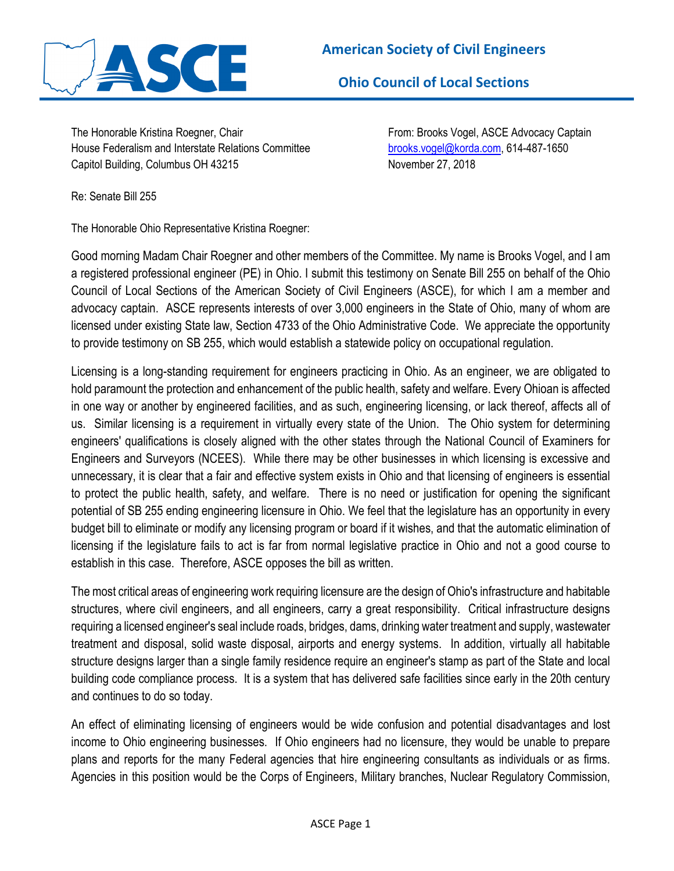

**Ohio Council of Local Sections** 

The Honorable Kristina Roegner, Chair From: Brooks Vogel, ASCE Advocacy Captain House Federalism and Interstate Relations Committee brooks.vogel@korda.com, 614-487-1650 Capitol Building, Columbus OH 43215 November 27, 2018

Re: Senate Bill 255

The Honorable Ohio Representative Kristina Roegner:

Good morning Madam Chair Roegner and other members of the Committee. My name is Brooks Vogel, and I am a registered professional engineer (PE) in Ohio. I submit this testimony on Senate Bill 255 on behalf of the Ohio Council of Local Sections of the American Society of Civil Engineers (ASCE), for which I am a member and advocacy captain. ASCE represents interests of over 3,000 engineers in the State of Ohio, many of whom are licensed under existing State law, Section 4733 of the Ohio Administrative Code. We appreciate the opportunity to provide testimony on SB 255, which would establish a statewide policy on occupational regulation.

Licensing is a long-standing requirement for engineers practicing in Ohio. As an engineer, we are obligated to hold paramount the protection and enhancement of the public health, safety and welfare. Every Ohioan is affected in one way or another by engineered facilities, and as such, engineering licensing, or lack thereof, affects all of us. Similar licensing is a requirement in virtually every state of the Union. The Ohio system for determining engineers' qualifications is closely aligned with the other states through the National Council of Examiners for Engineers and Surveyors (NCEES). While there may be other businesses in which licensing is excessive and unnecessary, it is clear that a fair and effective system exists in Ohio and that licensing of engineers is essential to protect the public health, safety, and welfare. There is no need or justification for opening the significant potential of SB 255 ending engineering licensure in Ohio. We feel that the legislature has an opportunity in every budget bill to eliminate or modify any licensing program or board if it wishes, and that the automatic elimination of licensing if the legislature fails to act is far from normal legislative practice in Ohio and not a good course to establish in this case. Therefore, ASCE opposes the bill as written.

The most critical areas of engineering work requiring licensure are the design of Ohio's infrastructure and habitable structures, where civil engineers, and all engineers, carry a great responsibility. Critical infrastructure designs requiring a licensed engineer's seal include roads, bridges, dams, drinking water treatment and supply, wastewater treatment and disposal, solid waste disposal, airports and energy systems. In addition, virtually all habitable structure designs larger than a single family residence require an engineer's stamp as part of the State and local building code compliance process. It is a system that has delivered safe facilities since early in the 20th century and continues to do so today.

An effect of eliminating licensing of engineers would be wide confusion and potential disadvantages and lost income to Ohio engineering businesses. If Ohio engineers had no licensure, they would be unable to prepare plans and reports for the many Federal agencies that hire engineering consultants as individuals or as firms. Agencies in this position would be the Corps of Engineers, Military branches, Nuclear Regulatory Commission,